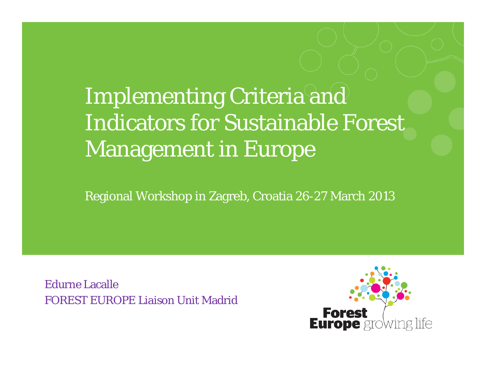## Implementing Criteria and Indicators for Sustainable Forest Management in Europe

Regional Workshop in Zagreb, Croatia 26-27 March 2013

Edurne LacalleFOREST EUROPE Liaison Unit Madrid

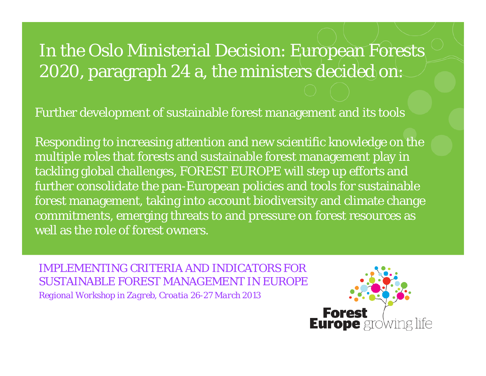### In the Oslo Ministerial Decision: European Forests 2020, paragraph 24 a, the ministers decided on:

Further development of sustainable forest management and its tools

Responding to increasing attention and new scientific knowledge on the multiple roles that forests and sustainable forest management play in tackling global challenges, FOREST EUROPE will step up efforts and further consolidate the pan-European policies and tools for sustainable forest management, taking into account biodiversity and climate change commitments, emerging threats to and pressure on forest resources as well as the role of forest owners.

*IMPLEMENTING CRITERIA AND INDICATORS FOR SUSTAINABLE FOREST MANAGEMENT IN EUROPERegional Workshop in Zagreb, Croatia 26-27 March 2013*

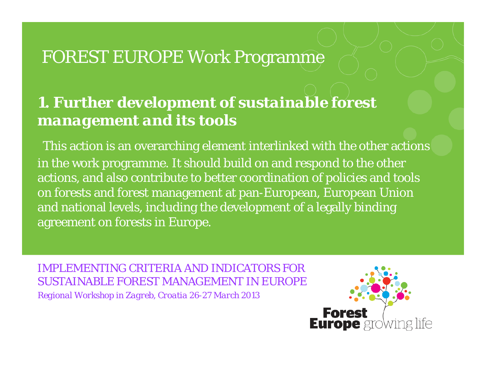### FOREST EUROPE Work Programme

#### *1. Further development of sustainable forest management and its tools*

This action is an overarching element interlinked with the other actions in the work programme. It should build on and respond to the other actions, and also contribute to better coordination of policies and tools on forests and forest management at pan-European, European Union and national levels, including the development of a legally binding agreement on forests in Europe.

*IMPLEMENTING CRITERIA AND INDICATORS FOR SUSTAINABLE FOREST MANAGEMENT IN EUROPERegional Workshop in Zagreb, Croatia 26-27 March 2013* 

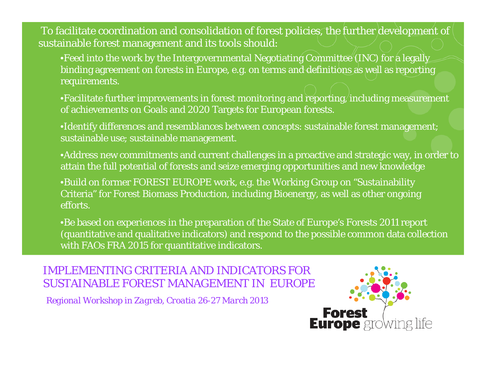To facilitate coordination and consolidation of forest policies, the further development of sustainable forest management and its tools should:

•Feed into the work by the Intergovernmental Negotiating Committee (INC) for a legally binding agreement on forests in Europe, e.g. on terms and definitions as well as reporting requirements.

•Facilitate further improvements in forest monitoring and reporting, including measurement of achievements on Goals and 2020 Targets for European forests.

•Identify differences and resemblances between concepts: sustainable forest management; sustainable use; sustainable management.

•Address new commitments and current challenges in a proactive and strategic way, in order to attain the full potential of forests and seize emerging opportunities and new knowledge

•Build on former FOREST EUROPE work, e.g. the Working Group on "Sustainability Criteria" for Forest Biomass Production, including Bioenergy, as well as other ongoing efforts.

•Be based on experiences in the preparation of the State of Europe's Forests 2011 report (quantitative and qualitative indicators) and respond to the possible common data collection with FAOs FRA 2015 for quantitative indicators.

*IMPLEMENTING CRITERIA AND INDICATORS FORSUSTAINABLE FOREST MANAGEMENT IN EUROPE*

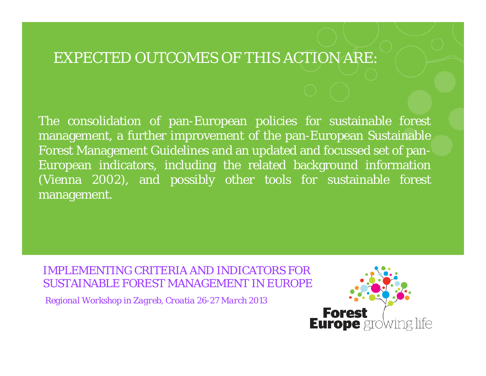#### EXPECTED OUTCOMES OF THIS ACTION ARE:

The consolidation of pan-European policies for sustainable forest management, <sup>a</sup> further improvement of the pan-European Sustainable Forest Management Guidelines and an updated and focussed set of pan-European indicators, including the related background information (Vienna 2002), and possibly other tools for sustainable forest management.

*IMPLEMENTING CRITERIA AND INDICATORS FORSUSTAINABLE FOREST MANAGEMENT IN EUROPE*

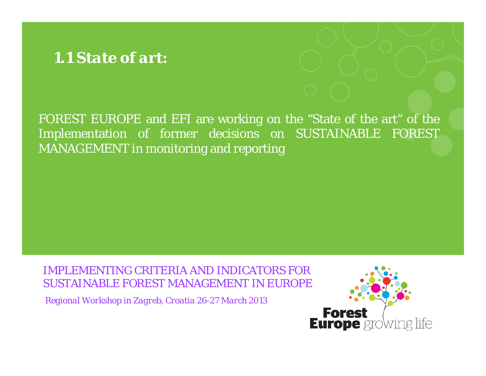#### *1.1 State of art:*



FOREST EUROPE and EFI are working on the "State of the art" of the Implementation of former decisions on SUSTAINABLE FOREST MANAGEMENT in monitoring and reporting

*IMPLEMENTING CRITERIA AND INDICATORS FORSUSTAINABLE FOREST MANAGEMENT IN EUROPE*

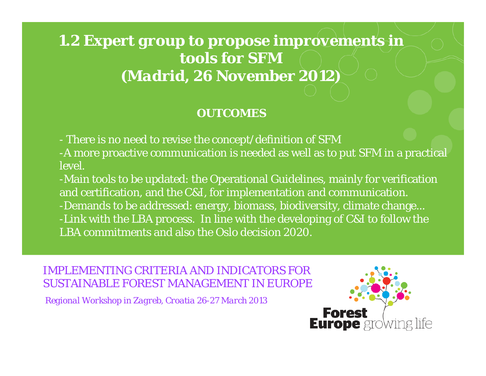#### *1.2 Expert group to propose improvements in tools for SFM(Madrid, 26 November 2012)*

#### *OUTCOMES*

- There is no need to revise the concept/definition of SFM
- -A more proactive communication is needed as well as to put SFM in a practical level.
- -Main tools to be updated: the Operational Guidelines, mainly for verification and certification, and the C&I, for implementation and communication. -Demands to be addressed: energy, biomass, biodiversity, climate change... -Link with the LBA process. In line with the developing of C&I to follow the LBA commitments and also the Oslo decision 2020.

*IMPLEMENTING CRITERIA AND INDICATORS FORSUSTAINABLE FOREST MANAGEMENT IN EUROPE*

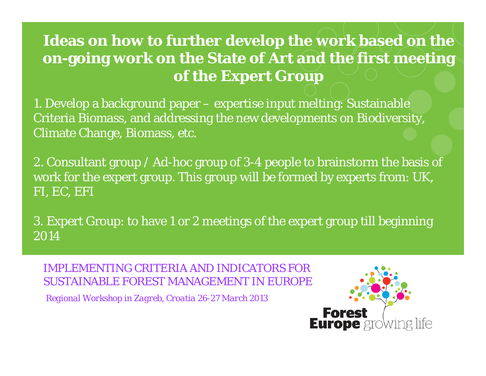#### **Ideas on how to further develop the work based on the on-going work on the State of Art and the first meeting of the Expert Group**

1. Develop a background paper – expertise input melting: Sustainable Criteria Biomass, and addressing the new developments on Biodiversity, Climate Change, Biomass, etc.

2. Consultant group / Ad-hoc group of 3-4 people to brainstorm the basis of work for the expert group. This group will be formed by experts from: UK, FI, EC, EFI

3. Expert Group: to have 1 or 2 meetings of the expert group till beginning 2014

*IMPLEMENTING CRITERIA AND INDICATORS FOR SUSTAINABLE FOREST MANAGEMENT IN EUROPE*